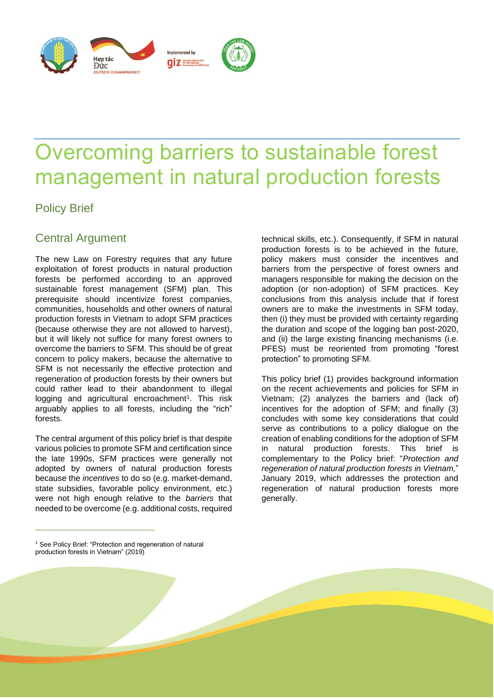

# Overcoming barriers to sustainable forest management in natural production forests

## Policy Brief

## Central Argument

The new Law on Forestry requires that any future exploitation of forest products in natural production forests be performed according to an approved sustainable forest management (SFM) plan. This prerequisite should incentivize forest companies, communities, households and other owners of natural production forests in Vietnam to adopt SFM practices (because otherwise they are not allowed to harvest), but it will likely not suffice for many forest owners to overcome the barriers to SFM. This should be of great concern to policy makers, because the alternative to SFM is not necessarily the effective protection and regeneration of production forests by their owners but could rather lead to their abandonment to illegal logging and agricultural encroachment<sup>1</sup>. This risk arguably applies to all forests, including the "rich" forests.

The central argument of this policy brief is that despite various policies to promote SFM and certification since the late 1990s, SFM practices were generally not adopted by owners of natural production forests because the *incentives* to do so (e.g. market-demand, state subsidies, favorable policy environment, etc.) were not high enough relative to the *barriers* that needed to be overcome (e.g. additional costs, required

technical skills, etc.). Consequently, if SFM in natural production forests is to be achieved in the future, policy makers must consider the incentives and barriers from the perspective of forest owners and managers responsible for making the decision on the adoption (or non-adoption) of SFM practices. Key conclusions from this analysis include that if forest owners are to make the investments in SFM today, then (i) they must be provided with certainty regarding the duration and scope of the logging ban post-2020, and (ii) the large existing financing mechanisms (i.e. PFES) must be reoriented from promoting "forest protection" to promoting SFM.

This policy brief (1) provides background information on the recent achievements and policies for SFM in Vietnam; (2) analyzes the barriers and (lack of) incentives for the adoption of SFM; and finally (3) concludes with some key considerations that could serve as contributions to a policy dialogue on the creation of enabling conditions for the adoption of SFM in natural production forests. This brief is complementary to the Policy brief: "*Protection and regeneration of natural production forests in Vietnam,*" January 2019, which addresses the protection and regeneration of natural production forests more generally.

<sup>1</sup> See Policy Brief: "Protection and regeneration of natural production forests in Vietnam" (2019)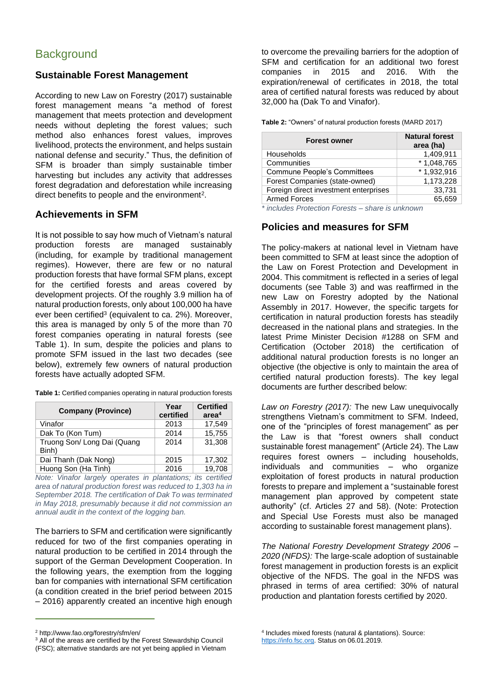### **Sustainable Forest Management**

According to new Law on Forestry (2017) sustainable forest management means "a method of forest management that meets protection and development needs without depleting the forest values; such method also enhances forest values, improves livelihood, protects the environment, and helps sustain national defense and security." Thus, the definition of SFM is broader than simply sustainable timber harvesting but includes any activity that addresses forest degradation and deforestation while increasing direct benefits to people and the environment<sup>2</sup>.

#### **Achievements in SFM**

It is not possible to say how much of Vietnam's natural production forests are managed sustainably (including, for example by traditional management regimes). However, there are few or no natural production forests that have formal SFM plans, except for the certified forests and areas covered by development projects. Of the roughly 3.9 million ha of natural production forests, only about 100,000 ha have ever been certified<sup>3</sup> (equivalent to ca. 2%). Moreover, this area is managed by only 5 of the more than 70 forest companies operating in natural forests (see Table 1). In sum, despite the policies and plans to promote SFM issued in the last two decades (see below), extremely few owners of natural production forests have actually adopted SFM.

| <b>Company (Province)</b>            | Year<br>certified | <b>Certified</b><br>area <sup>4</sup> |
|--------------------------------------|-------------------|---------------------------------------|
| Vinafor                              | 2013              | 17,549                                |
| Dak To (Kon Tum)                     | 2014              | 15,755                                |
| Truong Son/ Long Dai (Quang<br>Binh) | 2014              | 31,308                                |
| Dai Thanh (Dak Nong)                 | 2015              | 17,302                                |
| Huong Son (Ha Tinh)                  | 2016              | 19,708                                |

**Table 1:** Certified companies operating in natural production forests

*Note: Vinafor largely operates in plantations; its certified area of natural production forest was reduced to 1,303 ha in September 2018. The certification of Dak To was terminated in May 2018, presumably because it did not commission an annual audit in the context of the logging ban.*

The barriers to SFM and certification were significantly reduced for two of the first companies operating in natural production to be certified in 2014 through the support of the German Development Cooperation. In the following years, the exemption from the logging ban for companies with international SFM certification (a condition created in the brief period between 2015 – 2016) apparently created an incentive high enough

to overcome the prevailing barriers for the adoption of SFM and certification for an additional two forest companies in 2015 and 2016. With the expiration/renewal of certificates in 2018, the total area of certified natural forests was reduced by about 32,000 ha (Dak To and Vinafor).

**Table 2:** "Owners" of natural production forests (MARD 2017)

| <b>Forest owner</b>                   | <b>Natural forest</b><br>area (ha) |
|---------------------------------------|------------------------------------|
| Households                            | 1,409,911                          |
| Communities                           | $*1,048,765$                       |
| Commune People's Committees           | $*1,932,916$                       |
| Forest Companies (state-owned)        | 1,173,228                          |
| Foreign direct investment enterprises | 33,731                             |
| <b>Armed Forces</b>                   | 65.659                             |

*\* includes Protection Forests – share is unknown* 

## **Policies and measures for SFM**

The policy-makers at national level in Vietnam have been committed to SFM at least since the adoption of the Law on Forest Protection and Development in 2004. This commitment is reflected in a series of legal documents (see Table 3) and was reaffirmed in the new Law on Forestry adopted by the National Assembly in 2017. However, the specific targets for certification in natural production forests has steadily decreased in the national plans and strategies. In the latest Prime Minister Decision #1288 on SFM and Certification (October 2018) the certification of additional natural production forests is no longer an objective (the objective is only to maintain the area of certified natural production forests). The key legal documents are further described below:

*Law on Forestry (2017):* The new Law unequivocally strengthens Vietnam's commitment to SFM. Indeed, one of the "principles of forest management" as per the Law is that "forest owners shall conduct sustainable forest management" (Article 24). The Law requires forest owners – including households, individuals and communities – who organize exploitation of forest products in natural production forests to prepare and implement a "sustainable forest management plan approved by competent state authority" (cf. Articles 27 and 58). (Note: Protection and Special Use Forests must also be managed according to sustainable forest management plans).

*The National Forestry Development Strategy 2006 – 2020 (NFDS):* The large-scale adoption of sustainable forest management in production forests is an explicit objective of the NFDS. The goal in the NFDS was phrased in terms of area certified: 30% of natural production and plantation forests certified by 2020.

<sup>2</sup> http://www.fao.org/forestry/sfm/en/

<sup>&</sup>lt;sup>3</sup> All of the areas are certified by the Forest Stewardship Council (FSC); alternative standards are not yet being applied in Vietnam

<sup>4</sup> Includes mixed forests (natural & plantations). Source: [https://info.fsc.org.](https://info.fsc.org/) Status on 06.01.2019.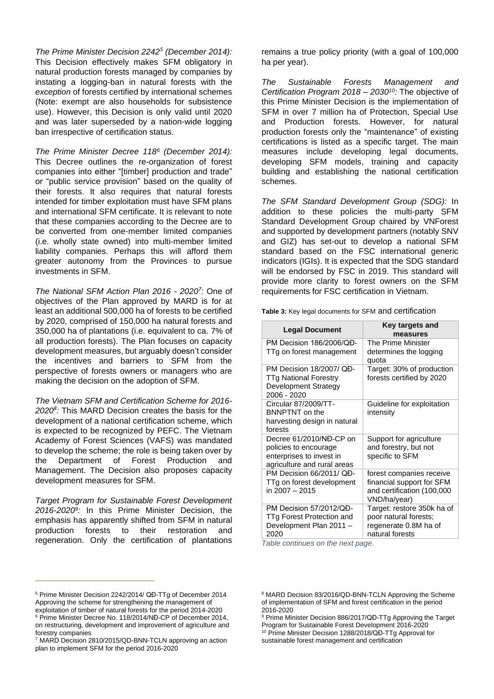*The Prime Minister Decision 2242<sup>5</sup> (December 2014):*  This Decision effectively makes SFM obligatory in natural production forests managed by companies by instating a logging-ban in natural forests with the *exception* of forests certified by international schemes (Note: exempt are also households for subsistence use). However, this Decision is only valid until 2020 and was later superseded by a nation-wide logging ban irrespective of certification status.

*The Prime Minister Decree 118<sup>6</sup> (December 2014):*  This Decree outlines the re-organization of forest companies into either "[timber] production and trade" or "public service provision" based on the quality of their forests. It also requires that natural forests intended for timber exploitation must have SFM plans and international SFM certificate. It is relevant to note that these companies according to the Decree are to be converted from one-member limited companies (i.e. wholly state owned) into multi-member limited liability companies. Perhaps this will afford them greater autonomy from the Provinces to pursue investments in SFM.

*The National SFM Action Plan 2016 - 2020<sup>7</sup> :* One of objectives of the Plan approved by MARD is for at least an additional 500,000 ha of forests to be certified by 2020, comprised of 150,000 ha natural forests and 350,000 ha of plantations (i.e. equivalent to ca. 7% of all production forests). The Plan focuses on capacity development measures, but arguably doesn't consider the incentives and barriers to SFM from the perspective of forests owners or managers who are making the decision on the adoption of SFM.

*The Vietnam SFM and Certification Scheme for 2016- 2020<sup>8</sup> :* This MARD Decision creates the basis for the development of a national certification scheme, which is expected to be recognized by PEFC. The Vietnam Academy of Forest Sciences (VAFS) was mandated to develop the scheme; the role is being taken over by the Department of Forest Production and Management. The Decision also proposes capacity development measures for SFM.

*Target Program for Sustainable Forest Development 2016-2020<sup>9</sup> :* In this Prime Minister Decision, the emphasis has apparently shifted from SFM in natural production forests to their restoration and regeneration. Only the certification of plantations

remains a true policy priority (with a goal of 100,000 ha per year).

*The Sustainable Forests Management and Certification Program 2018 – 2030<sup>10</sup>:* The objective of this Prime Minister Decision is the implementation of SFM in over 7 million ha of Protection, Special Use and Production forests. However, for natural production forests only the "maintenance" of existing certifications is listed as a specific target. The main measures include developing legal documents, developing SFM models, training and capacity building and establishing the national certification schemes.

*The SFM Standard Development Group (SDG):* In addition to these policies the multi-party SFM Standard Development Group chaired by VNForest and supported by development partners (notably SNV and GIZ) has set-out to develop a national SFM standard based on the FSC international generic indicators (IGIs). It is expected that the SDG standard will be endorsed by FSC in 2019. This standard will provide more clarity to forest owners on the SFM requirements for FSC certification in Vietnam.

**Table 3:** Key legal documents for SFM and certification

| <b>Legal Document</b>                                                                                       | Key targets and<br>measures                                                                         |
|-------------------------------------------------------------------------------------------------------------|-----------------------------------------------------------------------------------------------------|
| PM Decision 186/2006/QD-<br>TTg on forest management                                                        | The Prime Minister<br>determines the logging<br>quota                                               |
| PM Decision 18/2007/ OD-<br><b>TTg National Forestry</b><br>Development Strategy<br>2006 - 2020             | Target: 30% of production<br>forests certified by 2020                                              |
| Circular 87/2009/TT-<br><b>BNNPTNT</b> on the<br>harvesting design in natural<br>forests                    | Guideline for exploitation<br>intensity                                                             |
| Decree 61/2010/NĐ-CP on<br>policies to encourage<br>enterprises to invest in<br>agriculture and rural areas | Support for agriculture<br>and forestry, but not<br>specific to SFM                                 |
| PM Decision 66/2011/QD-<br>TTg on forest development<br>in $2007 - 2015$                                    | forest companies receive<br>financial support for SFM<br>and certification (100,000<br>VND/ha/year) |
| PM Decision 57/2012/QĐ-<br>TTg Forest Protection and<br>Development Plan 2011 -<br>2020                     | Target: restore 350k ha of<br>poor natural forests;<br>regenerate 0.8M ha of<br>natural forests     |

*Table continues on the next page.*

<sup>5</sup> Prime Minister Decision 2242/2014/ QĐ-TTg of December 2014 Approving the scheme for strengthening the management of exploitation of timber of natural forests for the period 2014-2020 <sup>6</sup> Prime Minister Decree No. 118/2014/NĐ-CP of December 2014, on restructuring, development and improvement of agriculture and

forestry companies <sup>7</sup> MARD Decision 2810/2015/QD-BNN-TCLN approving an action

plan to implement SFM for the period 2016-2020

<sup>8</sup> MARD Decision 83/2016/QD-BNN-TCLN Approving the Scheme of implementation of SFM and forest certification in the period 2016-2020

<sup>9</sup> Prime Minister Decision 886/2017/QĐ-TTg Approving the Target Program for Sustainable Forest Development 2016-2020 <sup>10</sup> Prime Minister Decision 1288/2018/QĐ-TTg Approval for sustainable forest management and certification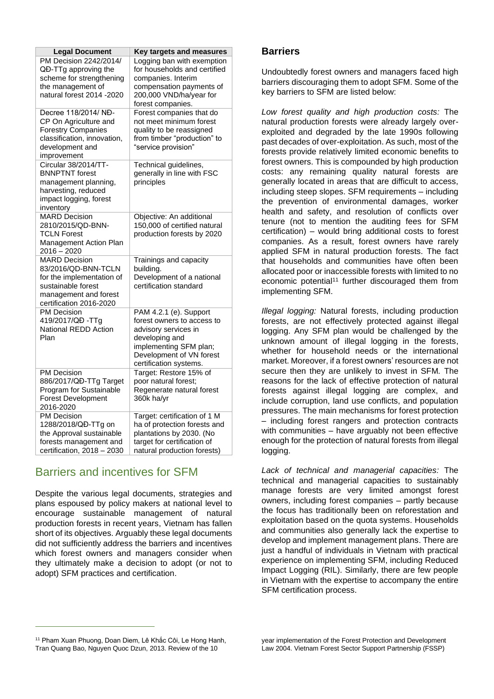| <b>Legal Document</b>                   | Key targets and measures     |
|-----------------------------------------|------------------------------|
| PM Decision 2242/2014/                  | Logging ban with exemption   |
| QĐ-TTg approving the                    | for households and certified |
| scheme for strengthening                | companies. Interim           |
| the management of                       | compensation payments of     |
| natural forest 2014 -2020               | 200,000 VND/ha/year for      |
|                                         | forest companies.            |
| Decree 118/2014/ NĐ-                    | Forest companies that do     |
| CP On Agriculture and                   | not meet minimum forest      |
| <b>Forestry Companies</b>               | quality to be reassigned     |
| classification, innovation,             | from timber "production" to  |
| development and                         | "service provision"          |
| improvement                             |                              |
| Circular 38/2014/TT-                    | Technical guidelines,        |
| <b>BNNPTNT</b> forest                   | generally in line with FSC   |
| management planning,                    | principles                   |
| harvesting, reduced                     |                              |
| impact logging, forest                  |                              |
| inventory                               |                              |
| <b>MARD Decision</b>                    | Objective: An additional     |
| 2810/2015/QD-BNN-                       | 150,000 of certified natural |
| <b>TCLN Forest</b>                      | production forests by 2020   |
| Management Action Plan<br>$2016 - 2020$ |                              |
| <b>MARD Decision</b>                    | Trainings and capacity       |
| 83/2016/QD-BNN-TCLN                     | building.                    |
| for the implementation of               | Development of a national    |
| sustainable forest                      | certification standard       |
| management and forest                   |                              |
| certification 2016-2020                 |                              |
| <b>PM Decision</b>                      | PAM 4.2.1 (e). Support       |
| 419/2017/QĐ-TTg                         | forest owners to access to   |
| <b>National REDD Action</b>             | advisory services in         |
| Plan                                    | developing and               |
|                                         | implementing SFM plan;       |
|                                         | Development of VN forest     |
|                                         | certification systems.       |
| <b>PM Decision</b>                      | Target: Restore 15% of       |
| 886/2017/QĐ-TTg Target                  | poor natural forest;         |
| Program for Sustainable                 | Regenerate natural forest    |
| <b>Forest Development</b>               | 360k ha/yr                   |
| 2016-2020                               |                              |
| <b>PM Decision</b>                      | Target: certification of 1 M |
| 1288/2018/QĐ-TTg on                     | ha of protection forests and |
| the Approval sustainable                | plantations by 2030. (No     |
| forests management and                  | target for certification of  |
| certification, 2018 - 2030              | natural production forests)  |

## Barriers and incentives for SFM

Despite the various legal documents, strategies and plans espoused by policy makers at national level to encourage sustainable management of natural production forests in recent years, Vietnam has fallen short of its objectives. Arguably these legal documents did not sufficiently address the barriers and incentives which forest owners and managers consider when they ultimately make a decision to adopt (or not to adopt) SFM practices and certification.

#### **Barriers**

Undoubtedly forest owners and managers faced high barriers discouraging them to adopt SFM. Some of the key barriers to SFM are listed below:

*Low forest quality and high production costs:* The natural production forests were already largely overexploited and degraded by the late 1990s following past decades of over-exploitation. As such, most of the forests provide relatively limited economic benefits to forest owners. This is compounded by high production costs: any remaining quality natural forests are generally located in areas that are difficult to access, including steep slopes. SFM requirements – including the prevention of environmental damages, worker health and safety, and resolution of conflicts over tenure (not to mention the auditing fees for SFM certification) – would bring additional costs to forest companies. As a result, forest owners have rarely applied SFM in natural production forests. The fact that households and communities have often been allocated poor or inaccessible forests with limited to no economic potential<sup>11</sup> further discouraged them from implementing SFM.

*Illegal logging:* Natural forests, including production forests, are not effectively protected against illegal logging. Any SFM plan would be challenged by the unknown amount of illegal logging in the forests, whether for household needs or the international market. Moreover, if a forest owners' resources are not secure then they are unlikely to invest in SFM*.* The reasons for the lack of effective protection of natural forests against illegal logging are complex, and include corruption, land use conflicts, and population pressures. The main mechanisms for forest protection – including forest rangers and protection contracts with communities – have arguably not been effective enough for the protection of natural forests from illegal logging.

*Lack of technical and managerial capacities:* The technical and managerial capacities to sustainably manage forests are very limited amongst forest owners, including forest companies – partly because the focus has traditionally been on reforestation and exploitation based on the quota systems. Households and communities also generally lack the expertise to develop and implement management plans. There are just a handful of individuals in Vietnam with practical experience on implementing SFM, including Reduced Impact Logging (RIL). Similarly, there are few people in Vietnam with the expertise to accompany the entire SFM certification process.

<sup>&</sup>lt;sup>11</sup> Pham Xuan Phuong, Doan Diem, Lê Khắc Côi, Le Hong Hanh, Tran Quang Bao, Nguyen Quoc Dzun, 2013. Review of the 10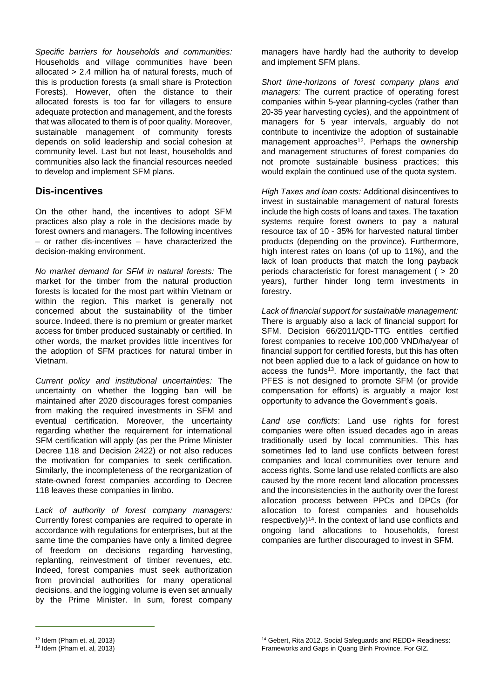*Specific barriers for households and communities:*  Households and village communities have been allocated > 2.4 million ha of natural forests, much of this is production forests (a small share is Protection Forests). However, often the distance to their allocated forests is too far for villagers to ensure adequate protection and management, and the forests that was allocated to them is of poor quality. Moreover, sustainable management of community forests depends on solid leadership and social cohesion at community level. Last but not least, households and communities also lack the financial resources needed to develop and implement SFM plans.

#### **Dis-incentives**

On the other hand, the incentives to adopt SFM practices also play a role in the decisions made by forest owners and managers. The following incentives – or rather dis-incentives – have characterized the decision-making environment.

*No market demand for SFM in natural forests:* The market for the timber from the natural production forests is located for the most part within Vietnam or within the region. This market is generally not concerned about the sustainability of the timber source. Indeed, there is no premium or greater market access for timber produced sustainably or certified. In other words, the market provides little incentives for the adoption of SFM practices for natural timber in Vietnam.

*Current policy and institutional uncertainties:* The uncertainty on whether the logging ban will be maintained after 2020 discourages forest companies from making the required investments in SFM and eventual certification. Moreover, the uncertainty regarding whether the requirement for international SFM certification will apply (as per the Prime Minister Decree 118 and Decision 2422) or not also reduces the motivation for companies to seek certification. Similarly, the incompleteness of the reorganization of state-owned forest companies according to Decree 118 leaves these companies in limbo.

*Lack of authority of forest company managers:*  Currently forest companies are required to operate in accordance with regulations for enterprises, but at the same time the companies have only a limited degree of freedom on decisions regarding harvesting, replanting, reinvestment of timber revenues, etc. Indeed, forest companies must seek authorization from provincial authorities for many operational decisions, and the logging volume is even set annually by the Prime Minister. In sum, forest company managers have hardly had the authority to develop and implement SFM plans.

*Short time-horizons of forest company plans and managers:* The current practice of operating forest companies within 5-year planning-cycles (rather than 20-35 year harvesting cycles), and the appointment of managers for 5 year intervals, arguably do not contribute to incentivize the adoption of sustainable management approaches<sup>12</sup>. Perhaps the ownership and management structures of forest companies do not promote sustainable business practices; this would explain the continued use of the quota system.

*High Taxes and loan costs:* Additional disincentives to invest in sustainable management of natural forests include the high costs of loans and taxes. The taxation systems require forest owners to pay a natural resource tax of 10 - 35% for harvested natural timber products (depending on the province). Furthermore, high interest rates on loans (of up to 11%), and the lack of loan products that match the long payback periods characteristic for forest management ( > 20 years), further hinder long term investments in forestry.

*Lack of financial support for sustainable management:* There is arguably also a lack of financial support for SFM. Decision 66/2011/QD-TTG entitles certified forest companies to receive 100,000 VND/ha/year of financial support for certified forests, but this has often not been applied due to a lack of guidance on how to access the funds<sup>13</sup>. More importantly, the fact that PFES is not designed to promote SFM (or provide compensation for efforts) is arguably a major lost opportunity to advance the Government's goals.

*Land use conflicts*: Land use rights for forest companies were often issued decades ago in areas traditionally used by local communities. This has sometimes led to land use conflicts between forest companies and local communities over tenure and access rights. Some land use related conflicts are also caused by the more recent land allocation processes and the inconsistencies in the authority over the forest allocation process between PPCs and DPCs (for allocation to forest companies and households respectively)<sup>14</sup>. In the context of land use conflicts and ongoing land allocations to households, forest companies are further discouraged to invest in SFM.

<sup>12</sup> Idem (Pham et. al, 2013)

 $13$  Idem (Pham et. al, 2013)

<sup>14</sup> Gebert, Rita 2012. Social Safeguards and REDD+ Readiness: Frameworks and Gaps in Quang Binh Province. For GIZ.